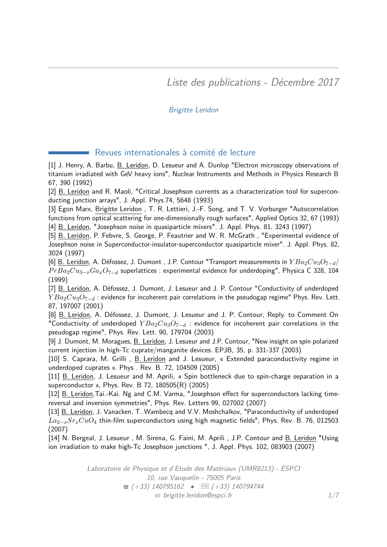Liste des publications - Décembre 2017

## Brigitte Leridon

### Revues internationales à comité de lecture

<span id="page-0-0"></span>[1] J. Henry, A. Barbu, B. Leridon, D. Lesueur and A. Dunlop "Electron microscopy observations of titanium irradiated with GeV heavy ions", Nuclear Instruments and Methods in Physics Research B 67, 390 (1992)

[2] B. Leridon and R. Maoli, "Critical Josephson currents as a characterization tool for superconducting junction arrays", J. Appl. Phys.74, 5648 (1993)

[3] Egon Marx, Brigitte Leridon , T. R. Lettieri, J.-F. Song, and T. V. Vorburger "Autocorrelation functions from optical scattering for one-dimensionally rough surfaces", Applied Optics 32, 67 (1993) [4] B. Leridon, "Josephson noise in quasiparticle mixers". J. Appl. Phys. 81, 3243 (1997)

[5] B. Leridon, P. Febvre, S. George, P. Feautrier and W. R. McGrath, "Experimental evidence of Josephson noise in Superconductor-insulator-superconductor quasiparticle mixer". J. Appl. Phys. 82, 3024 (1997)

[6] B. Leridon, A. Défossez, J. Dumont , J.P. Contour "Transport measurements in *Y Ba*2*Cu*3*O*7−*d*/ *PrBa*<sub>2</sub>*Cu*<sub>3−*x*</sub>*Ga<sub>x</sub>O*<sub>7−*d*</sub> superlattices : experimental evidence for underdoping", Physica C 328, 104 (1999)

[7] B. Leridon, A. Défossez, J. Dumont, J. Lesueur and J. P. Contour "Conductivity of underdoped *Y Ba*<sub>2</sub>*Cu*<sub>3</sub>*O*<sub>7−*d*</sub> : evidence for incoherent pair correlations in the pseudogap regime" Phys. Rev. Lett. 87, 197007 (2001)

[8] B. Leridon, A. Défossez, J. Dumont, J. Lesueur and J. P. Contour, Reply. to Comment On "Conductivity of underdoped  $YBa_2Cu_3O_{7-d}$  : evidence for incoherent pair correlations in the pseudogap regime", Phys. Rev. Lett. 90, 179704 (2003)

[9] J. Dumont, M. Moragues, B. Leridon, J. Lesueur and J.P. Contour, "New insight on spin polarized current injection in high-Tc cuprate/manganite devices. EPJB, 35, p. 331-337 (2003)

[10] S. Caprara, M. Grilli , B. Leridon and J. Lesueur, « Extended paraconductivity regime in underdoped cuprates ». Phys . Rev. B. 72, 104509 (2005)

[11] B. Leridon, J. Lesueur and M. Aprili, « Spin bottleneck due to spin-charge separation in a superconductor », Phys. Rev. B 72, 180505(R) (2005)

[12] B. Leridon, Tai.-Kai. Ng and C.M. Varma, "Josephson effect for superconductors lacking timereversal and inversion symmetries", Phys. Rev. Letters 99, 027002 (2007)

[13] B. Leridon, J. Vanacken, T. Wambecq and V.V. Moshchalkov, "Paraconductivity of underdoped *La*2−*xSrxCuO*<sup>4</sup> thin-film superconductors using high magnetic fields", Phys. Rev. B. 76, 012503 (2007)

[14] N. Bergeal, J. Lesueur , M. Sirena, G. Faini, M. Aprili , J.P. Contour and B. Leridon "Using ion irradiation to make high-Tc Josephson junctions ", J. Appl. Phys. 102, 083903 (2007)

> Laboratoire de Physique et d'Etude des Matériaux (UMR8213) - ESPCI 10, rue Vauquelin - 75005 Paris  $\bullet$  (+33) 140795162  $\bullet$  EAX (+33) 140794744  $\boxtimes$  [brigitte.leridon@espci.fr](mailto:brigitte.leridon@espci.fr)  $1/7$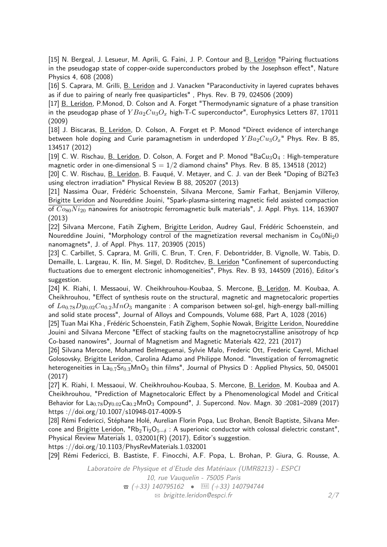[15] N. Bergeal, J. Lesueur, M. Aprili, G. Faini, J. P. Contour and B. Leridon "Pairing fluctuations in the pseudogap state of copper-oxide superconductors probed by the Josephson effect", Nature Physics 4, 608 (2008)

[16] S. Caprara, M. Grilli, B. Leridon and J. Vanacken "Paraconductivity in layered cuprates behaves as if due to pairing of nearly free quasiparticles" , Phys. Rev. B 79, 024506 (2009)

[17] B. Leridon, P.Monod, D. Colson and A. Forget "Thermodynamic signature of a phase transition in the pseudogap phase of  $YBa_2Cu_3O_x$  high-T-C superconductor", Europhysics Letters 87, 17011 (2009)

[18] J. Biscaras, B. Leridon, D. Colson, A. Forget et P. Monod "Direct evidence of interchange between hole doping and Curie paramagnetism in underdoped  $YBa<sub>2</sub>Cu<sub>3</sub>O<sub>x</sub>$ " Phys. Rev. B 85, 134517 (2012)

[19] C. W. Rischau, B. Leridon, D. Colson, A. Forget and P. Monod "BaCu<sub>3</sub>O<sub>4</sub> : High-temperature magnetic order in one-dimensional  $S = 1/2$  diamond chains" Phys. Rev. B 85, 134518 (2012)

[20] C. W. Rischau, B. Leridon, B. Fauqué, V. Metayer, and C. J. van der Beek "Doping of Bi2Te3 using electron irradiation" Physical Review B 88, 205207 (2013)

[21] Nassima Ouar, Frédéric Schoenstein, Silvana Mercone, Samir Farhat, Benjamin Villeroy, Brigitte Leridon and Noureddine Jouini, "Spark-plasma-sintering magnetic field assisted compaction of *Co*80*N i*<sup>20</sup> nanowires for anisotropic ferromagnetic bulk materials", J. Appl. Phys. 114, 163907 (2013)

[22] Silvana Mercone, Fatih Zighem, Brigitte Leridon, Audrey Gaul, Frédéric Schoenstein, and Noureddine Jouini, "Morphology control of the magnetization reversal mechanism in  $Co_80Ni_2O$ nanomagnets", J. of Appl. Phys. 117, 203905 (2015)

[23] C. Carbillet, S. Caprara, M. Grilli, C. Brun, T. Cren, F. Debontridder, B. Vignolle, W. Tabis, D. Demaille, L. Largeau, K. Ilin, M. Siegel, D. Roditchev, B. Leridon "Confinement of superconducting fluctuations due to emergent electronic inhomogeneities", Phys. Rev. B 93, 144509 (2016), Editor's suggestion.

[24] K. Riahi, I. Messaoui, W. Cheikhrouhou-Koubaa, S. Mercone, B. Leridon, M. Koubaa, A. Cheikhrouhou, "Effect of synthesis route on the structural, magnetic and magnetocaloric properties of *La*0*.*78*Dy*0*.*02*Ca*0*.*2*MnO*<sup>3</sup> manganite : A comparison between sol-gel, high-energy ball-milling and solid state process", Journal of Alloys and Compounds, Volume 688, Part A, 1028 (2016)

[25] Tuan Mai Kha , Frédéric Schoenstein, Fatih Zighem, Sophie Nowak, Brigitte Leridon, Noureddine Jouini and Silvana Mercone "Effect of stacking faults on the magnetocrystalline anisotropy of hcp Co-based nanowires", Journal of Magnetism and Magnetic Materials 422, 221 (2017)

[26] Silvana Mercone, Mohamed Belmeguenai, Sylvie Malo, Frederic Ott, Frederic Cayrel, Michael Golosovsky, Brigitte Leridon, Carolina Adamo and Philippe Monod. "Investigation of ferromagnetic heterogeneities in La<sub>0.7</sub>Sr<sub>0.3</sub>MnO<sub>3</sub> thin films", Journal of Physics D: Applied Physics, 50, 045001 (2017)

[27] K. Riahi, I. Messaoui, W. Cheikhrouhou-Koubaa, S. Mercone, B. Leridon, M. Koubaa and A. Cheikhrouhou, "Prediction of Magnetocaloric Effect by a Phenomenological Model and Critical Behavior for La<sub>0.78</sub>Dy<sub>0.02</sub>Ca<sub>0.2</sub>MnO<sub>3</sub> Compound", J. Supercond. Nov. Magn. 30 :2081-2089 (2017) https ://doi.org/10.1007/s10948-017-4009-5

[28] Rémi Federicci, Stéphane Holé, Aurelian Florin Popa, Luc Brohan, Benoît Baptiste, Silvana Mercone and Brigitte Leridon, "Rb<sub>2</sub>Ti<sub>2</sub>O<sub>5−δ</sub> : A superionic conductor with colossal dielectric constant", Physical Review Materials 1, 032001(R) (2017), Editor's suggestion.

https ://doi.org/10.1103/PhysRevMaterials.1.032001

[29] Rémi Federicci, B. Bastiste, F. Finocchi, A.F. Popa, L. Brohan, P. Giura, G. Rousse, A.

Laboratoire de Physique et d'Etude des Matériaux (UMR8213) - ESPCI 10, rue Vauquelin - 75005 Paris  $\hat{B}$  (+33) 140795162 • EAXI (+33) 140794744  $\boxtimes$  [brigitte.leridon@espci.fr](mailto:brigitte.leridon@espci.fr) 2[/7](#page-0-0)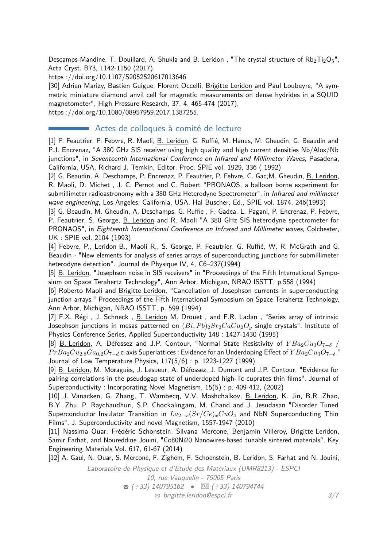Descamps-Mandine, T. Douillard, A. Shukla and B. Leridon, "The crystal structure of  $Rb_2Ti_2O_5$ ", Acta Cryst. B73, 1142-1150 (2017).

https ://doi.org/10.1107/S2052520617013646

[30] Adrien Marizy, Bastien Guigue, Florent Occelli, Brigitte Leridon and Paul Loubeyre, "A symmetric miniature diamond anvil cell for magnetic measurements on dense hydrides in a SQUID magnetometer", High Pressure Research, 37, 4, 465-474 (2017),

https ://doi.org/10.1080/08957959.2017.1387255.

#### Actes de colloques à comité de lecture

[1] P. Feautrier, P. Febvre, R. Maoli, B. Leridon, G. Ruffié, M. Hanus, M. Gheudin, G. Beaudin and P.J. Encrenaz, "A 380 GHz SIS receiver using high quality and high current densities Nb/Alox/Nb junctions", in Seventeenth International Conference on Infrared and Millimeter Waves, Pasadena, California, USA, Richard J. Temkin, Editor, Proc. SPIE vol. 1929, 336 ( 1992)

[2] G. Beaudin, A. Deschamps, P. Encrenaz, P. Feautrier, P. Febvre, C. Gac,M. Gheudin, B. Leridon, R. Maoli, D. Michet , J. C. Pernot and C. Robert "PRONAOS, a balloon borne experiment for submillimeter radioastronomy with a 380 GHz Heterodyne Spectrometer", in Infrared and millimeter wave engineering, Los Angeles, California, USA, Hal Buscher, Ed., SPIE vol. 1874, 246(1993)

[3] G. Beaudin, M. Gheudin, A. Deschamps, G. Ruffie , F. Gadea, L. Pagani, P. Encrenaz, P. Febvre, P. Feautrier, S. George, B. Leridon and R. Maoli "A 380 GHz SIS heterodyne spectrometer for PRONAOS", in Eighteenth International Conference on Infrared and Millimeter waves, Colchester, UK : SPIE vol. 2104 (1993)

[4] Febvre, P., Leridon B., Maoli R., S. George, P. Feautrier, G. Ruffié, W. R. McGrath and G. Beaudin · "New elements for analysis of series arrays of superconducting junctions for submillimeter heterodyne detection". Journal de Physique IV, 4, C6–237(1994)

[5] B. Leridon, "Josephson noise in SIS receivers" in "Proceedings of the Fifth International Symposium on Space Terahertz Technology", Ann Arbor, Michigan, NRAO ISSTT, p.558 (1994)

[6] Roberto Maoli and Brigitte Leridon, "Cancellation of Josephson currents in superconducting junction arrays," Proceedings of the Fifth International Symposium on Space Terahertz Technology, Ann Arbor, Michigan, NRAO ISSTT, p. 599 (1994)

[7] F.X. Régi, J. Schneck, B. Leridon M. Drouet, and F.R. Ladan, "Series array of intrinsic Josephson junctions in mesas patterned on  $(Bi, Pb)$ <sub>2</sub> $Sr_2CaCu_2O$ <sub>*y*</sub> single crystals". Institute of Physics Conference Series, Applied Superconductivity 148 : 1427-1430 (1995)

[8] B. Leridon, A. Défossez and J.P. Contour, "Normal State Resistivity of *Y Ba*2*Cu*3*O*7−*<sup>δ</sup>* / *PrBa*<sub>2</sub>*Cu*<sub>2</sub>.8</sub>*Ga*<sub>0.2</sub>*O*<sub>7−*d*</sub> c-axis Superlattices : Evidence for an Underdoping Effect of *Y Ba*<sub>2</sub>*Cu*<sub>3</sub>*O*<sub>7−</sub>*δ*." Journal of Low Temperature Physics, 117(5/6) : p. 1223-1227 (1999)

[9] B. Leridon, M. Moraguès, J. Lesueur, A. Défossez, J. Dumont and J.P. Contour, "Evidence for pairing correlations in the pseudogap state of underdoped high-Tc cuprates thin films". Journal of Superconductivity : Incorporating Novel Magnetism, 15(5) : p. 409-412, (2002)

[10] J. Vanacken, G. Zhang, T. Wambecq, V.V. Moshchalkov, B. Leridon, K. Jin, B.R. Zhao, B.Y. Zhu, P. Raychaudhuri, S.P. Chockalingam, M. Chand and J. Jesudasan "Disorder Tuned Superconductor Insulator Transition in *La*2−*x*(*Sr/Ce*)*xCuO*<sup>4</sup> and NbN Superconducting Thin Films", J. Superconductivity and novel Magnetism, 1557-1947 (2010)

[11] Nassima Ouar, Frédéric Schonstein, Silvana Mercone, Benjamin Villeroy, Brigitte Leridon, Samir Farhat, and Noureddine Jouini, "Co80Ni20 Nanowires-based tunable sintered materials", Key Engineering Materials Vol. 617, 61-67 (2014)

[12] A. Gaul, N. Ouar, S. Mercone, F. Zighem, F. Schoenstein, B. Leridon, S. Farhat and N. Jouini,

Laboratoire de Physique et d'Etude des Matériaux (UMR8213) - ESPCI 10, rue Vauquelin - 75005 Paris  $\hat{B}$  (+33) 140795162 • EAXI (+33) 140794744  $\boxtimes$  [brigitte.leridon@espci.fr](mailto:brigitte.leridon@espci.fr)  $3/7$  $3/7$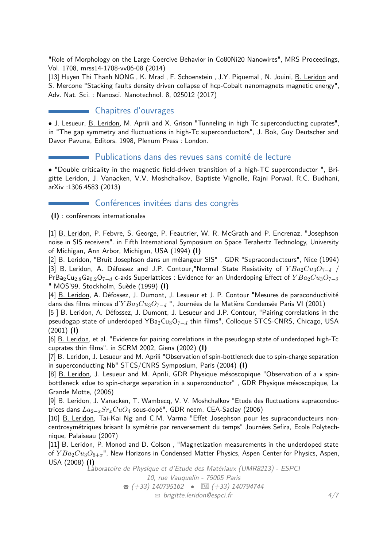"Role of Morphology on the Large Coercive Behavior in Co80Ni20 Nanowires", MRS Proceedings, Vol. 1708, mrss14-1708-vv06-08 (2014)

[13] Huyen Thi Thanh NONG , K. Mrad , F. Schoenstein , J.Y. Piquemal , N. Jouini, B. Leridon and S. Mercone "Stacking faults density driven collapse of hcp-Cobalt nanomagnets magnetic energy", Adv. Nat. Sci. : Nanosci. Nanotechnol. 8, 025012 (2017)

## Chapitres d'ouvrages

• J. Lesueur, B. Leridon, M. Aprili and X. Grison "Tunneling in high Tc superconducting cuprates", in "The gap symmetry and fluctuations in high-Tc superconductors", J. Bok, Guy Deutscher and Davor Pavuna, Editors. 1998, Plenum Press : London.

#### Publications dans des revues sans comité de lecture

• "Double criticality in the magnetic field-driven transition of a high-TC superconductor ", Brigitte Leridon, J. Vanacken, V.V. Moshchalkov, Baptiste Vignolle, Rajni Porwal, R.C. Budhani, arXiv :1306.4583 (2013)

#### Conférences invitées dans des congrès

**(I)** : conférences internationales

[1] B. Leridon, P. Febvre, S. George, P. Feautrier, W. R. McGrath and P. Encrenaz, "Josephson noise in SIS receivers". in Fifth International Symposium on Space Terahertz Technology, University of Michigan, Ann Arbor, Michigan, USA (1994) **(I)**

[2] B. Leridon, "Bruit Josephson dans un mélangeur SIS", GDR "Supraconducteurs", Nice (1994) [3] B. Leridon, A. Défossez and J.P. Contour,"Normal State Resistivity of *Y Ba*2*Cu*3*O*7−*<sup>δ</sup>* / PrBa<sub>2</sub>Cu<sub>2.8</sub>Ga<sub>0.2</sub>O<sub>7−*d*</sub> c-axis Superlattices : Evidence for an Underdoping Effect of  $YBa_2Cu_3O_{7-δ}$ " MOS'99, Stockholm, Suède (1999) **(I)**

[4] B. Leridon, A. Défossez, J. Dumont, J. Lesueur et J. P. Contour "Mesures de paraconductivité dans des films minces d'*Y Ba*2*Cu*3*O*7−*<sup>d</sup>* ", Journées de la Matière Condensée Paris VI (2001)

[5 ] B. Leridon, A. Défossez, J. Dumont, J. Lesueur and J.P. Contour, "Pairing correlations in the pseudogap state of underdoped YBa<sub>2</sub>Cu<sub>3</sub>O<sub>7−d</sub> thin films", Colloque STCS-CNRS, Chicago, USA (2001) **(I)**

[6] B. Leridon, et al. "Evidence for pairing correlations in the pseudogap state of underdoped high-Tc cuprates thin films". in SCRM 2002, Giens (2002) **(I)**

[7] B. Leridon, J. Lesueur and M. Aprili "Observation of spin-bottleneck due to spin-charge separation in superconducting Nb" STCS/CNRS Symposium, Paris (2004) **(I)**

[8] B. Leridon, J. Lesueur and M. Aprili, GDR Physique mésoscopique "Observation of a « spinbottleneck »due to spin-charge separation in a superconductor" , GDR Physique mésoscopique, La Grande Motte, (2006)

[9] B. Leridon, J. Vanacken, T. Wambecq, V. V. Moshchalkov "Etude des fluctuations supraconductrices dans *La*2−*xSrxCuO*<sup>4</sup> sous-dopé", GDR neem, CEA-Saclay (2006)

[10] B. Leridon, Tai-Kai Ng and C.M. Varma "Effet Josephson pour les supraconducteurs noncentrosymétriques brisant la symétrie par renversement du temps" Journées Sefira, Ecole Polytechnique, Palaiseau (2007)

[11] B. Leridon, P. Monod and D. Colson, "Magnetization measurements in the underdoped state of *Y Ba*2*Cu*3*O*6+*x*", New Horizons in Condensed Matter Physics, Aspen Center for Physics, Aspen, USA (2008) **(I)**

Laboratoire de Physique et d'Etude des Matériaux (UMR8213) - ESPCI 10, rue Vauquelin - 75005 Paris  $\hat{B}$  (+33) 140795162 • EAXI (+33) 140794744  $\boxtimes$  [brigitte.leridon@espci.fr](mailto:brigitte.leridon@espci.fr) 4[/7](#page-0-0)